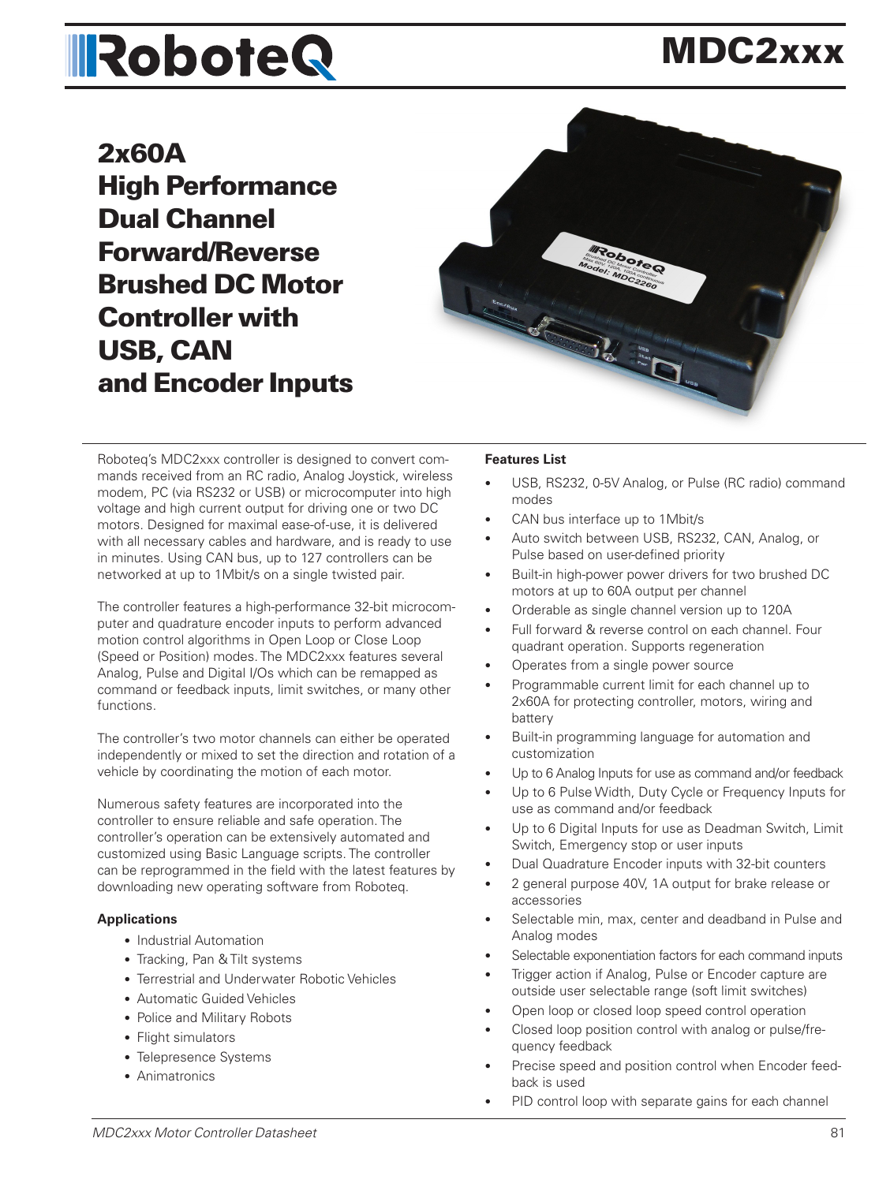# **IRoboteQ**

## MDC2xxx

2x60A High Performance Dual Channel Forward/Reverse Brushed DC Motor Controller with USB, CAN and Encoder Inputs



Roboteq's MDC2xxx controller is designed to convert commands received from an RC radio, Analog Joystick, wireless modem, PC (via RS232 or USB) or microcomputer into high voltage and high current output for driving one or two DC motors. Designed for maximal ease-of-use, it is delivered with all necessary cables and hardware, and is ready to use in minutes. Using CAN bus, up to 127 controllers can be networked at up to 1Mbit/s on a single twisted pair.

The controller features a high-performance 32-bit microcomputer and quadrature encoder inputs to perform advanced motion control algorithms in Open Loop or Close Loop (Speed or Position) modes. The MDC2xxx features several Analog, Pulse and Digital I/Os which can be remapped as command or feedback inputs, limit switches, or many other functions.

The controller's two motor channels can either be operated independently or mixed to set the direction and rotation of a vehicle by coordinating the motion of each motor.

Numerous safety features are incorporated into the controller to ensure reliable and safe operation. The controller's operation can be extensively automated and customized using Basic Language scripts. The controller can be reprogrammed in the field with the latest features by downloading new operating software from Roboteq.

#### **Applications**

- Industrial Automation
- Tracking, Pan & Tilt systems
- Terrestrial and Underwater Robotic Vehicles
- Automatic Guided Vehicles
- Police and Military Robots
- Flight simulators
- Telepresence Systems
- Animatronics

#### **Features List**

- USB, RS232, 0-5V Analog, or Pulse (RC radio) command modes
- CAN bus interface up to 1Mbit/s
- Auto switch between USB, RS232, CAN, Analog, or Pulse based on user-defined priority
- Built-in high-power power drivers for two brushed DC motors at up to 60A output per channel
- Orderable as single channel version up to 120A
- Full forward & reverse control on each channel. Four quadrant operation. Supports regeneration
- Operates from a single power source
- Programmable current limit for each channel up to 2x60A for protecting controller, motors, wiring and battery
- Built-in programming language for automation and customization
- Up to 6 Analog Inputs for use as command and/or feedback
- Up to 6 Pulse Width, Duty Cycle or Frequency Inputs for use as command and/or feedback
- Up to 6 Digital Inputs for use as Deadman Switch, Limit Switch, Emergency stop or user inputs
- Dual Quadrature Encoder inputs with 32-bit counters
- 2 general purpose 40V, 1A output for brake release or accessories
- Selectable min, max, center and deadband in Pulse and Analog modes
- Selectable exponentiation factors for each command inputs
- Trigger action if Analog, Pulse or Encoder capture are outside user selectable range (soft limit switches)
- Open loop or closed loop speed control operation
- Closed loop position control with analog or pulse/frequency feedback
- Precise speed and position control when Encoder feedback is used
- PID control loop with separate gains for each channel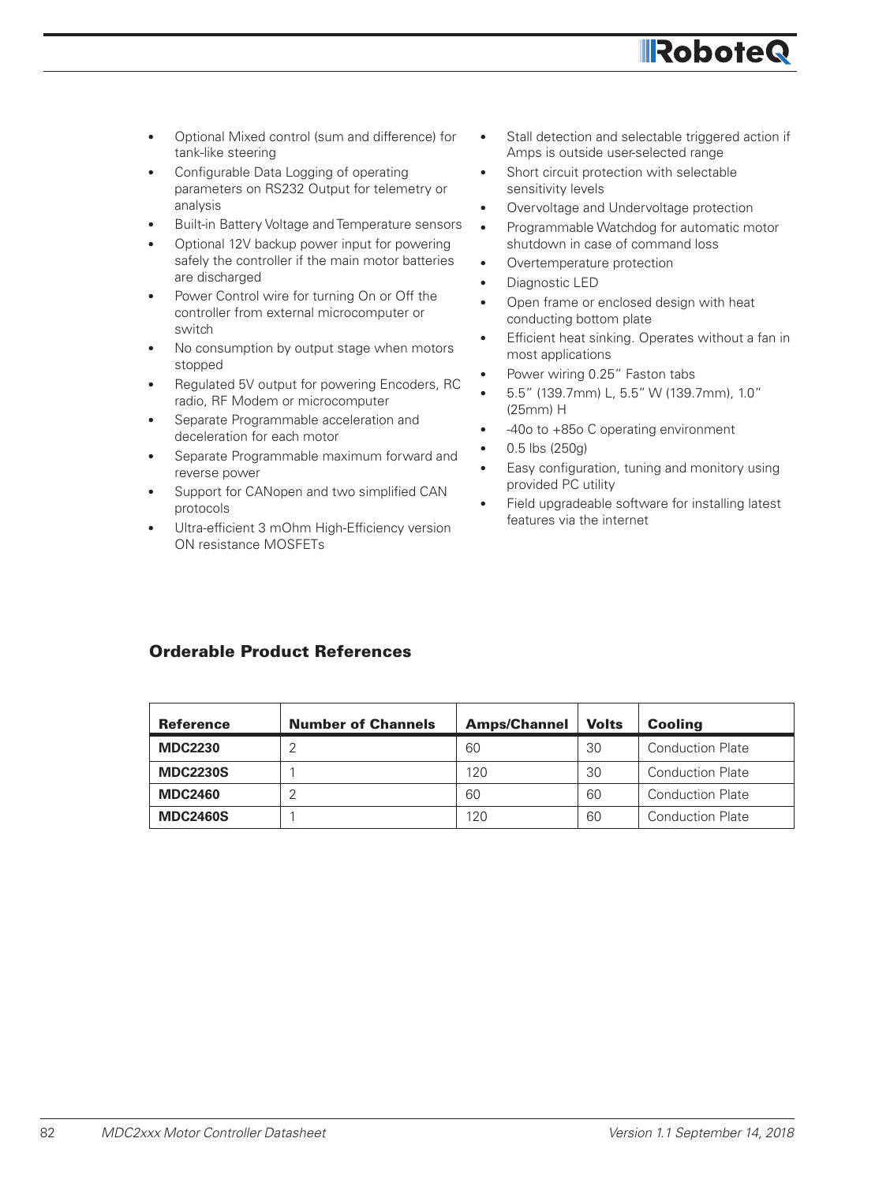

- Optional Mixed control (sum and difference) for tank-like steering
- Configurable Data Logging of operating parameters on RS232 Output for telemetry or analysis
- Built-in Battery Voltage and Temperature sensors
- Optional 12V backup power input for powering safely the controller if the main motor batteries are discharged
- Power Control wire for turning On or Off the controller from external microcomputer or switch
- No consumption by output stage when motors stopped
- Regulated 5V output for powering Encoders, RC radio, RF Modem or microcomputer
- Separate Programmable acceleration and deceleration for each motor
- Separate Programmable maximum forward and reverse power
- Support for CANopen and two simplified CAN protocols
- Ultra-efficient 3 mOhm High-Efficiency version ON resistance MOSFETs
- Stall detection and selectable triggered action if Amps is outside user-selected range
- Short circuit protection with selectable sensitivity levels
- Overvoltage and Undervoltage protection
- Programmable Watchdog for automatic motor shutdown in case of command loss
- Overtemperature protection
- Diagnostic LED
- Open frame or enclosed design with heat conducting bottom plate
- Efficient heat sinking. Operates without a fan in most applications
- Power wiring 0.25" Faston tabs
- 5.5" (139.7mm) L, 5.5" W (139.7mm), 1.0" (25mm) H
- -40o to +85o C operating environment
- 0.5 lbs (250g)
- Easy configuration, tuning and monitory using provided PC utility
- Field upgradeable software for installing latest features via the internet

#### Orderable Product References

| <b>Reference</b> | <b>Number of Channels</b> | <b>Amps/Channel</b> | <b>Volts</b> | <b>Cooling</b>          |
|------------------|---------------------------|---------------------|--------------|-------------------------|
| <b>MDC2230</b>   |                           | 60                  | 30           | <b>Conduction Plate</b> |
| <b>MDC2230S</b>  |                           | 120                 | 30           | <b>Conduction Plate</b> |
| <b>MDC2460</b>   |                           | 60                  | 60           | <b>Conduction Plate</b> |
| <b>MDC2460S</b>  |                           | 120                 | 60           | <b>Conduction Plate</b> |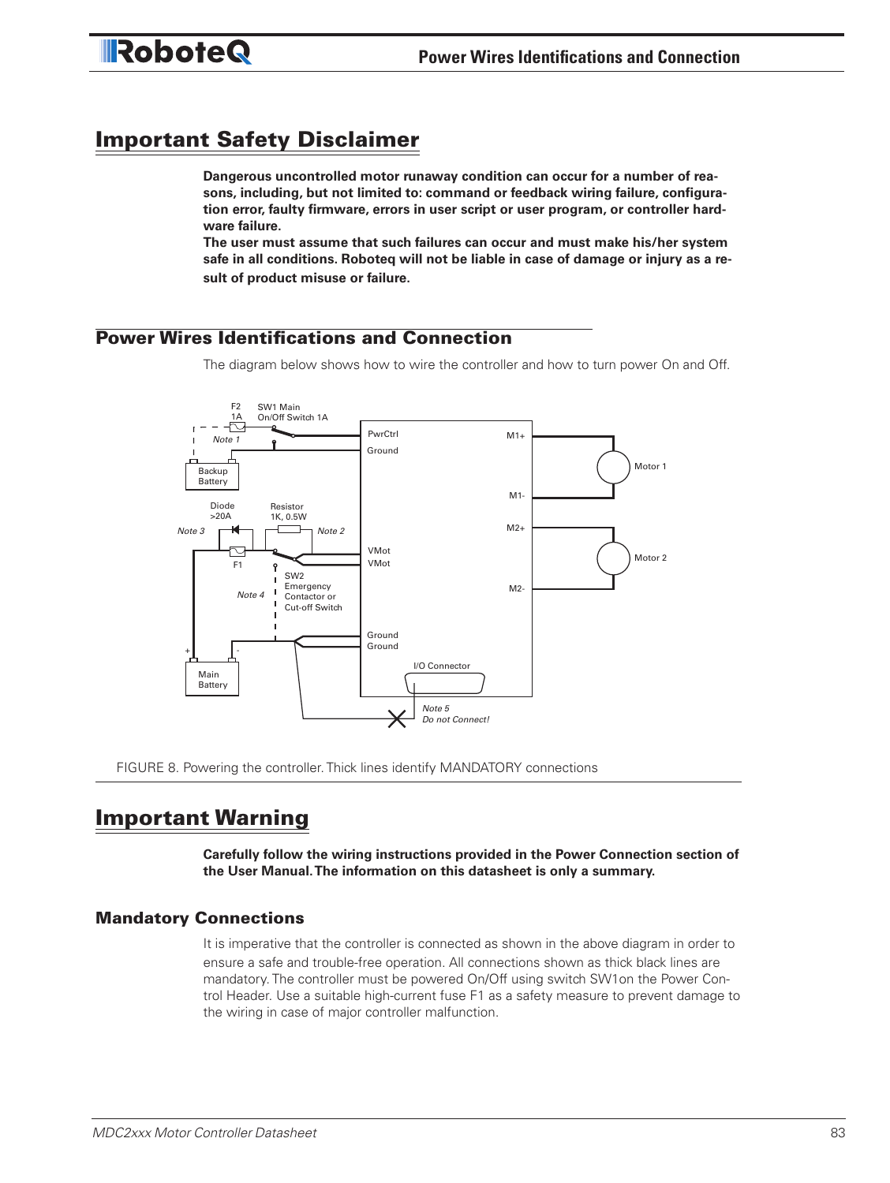### Important Safety Disclaimer

**Dangerous uncontrolled motor runaway condition can occur for a number of reasons, including, but not limited to: command or feedback wiring failure, configuration error, faulty firmware, errors in user script or user program, or controller hardware failure.** 

**The user must assume that such failures can occur and must make his/her system safe in all conditions. Roboteq will not be liable in case of damage or injury as a result of product misuse or failure.**

#### Power Wires Identifications and Connection

The diagram below shows how to wire the controller and how to turn power On and Off.



FIGURE 8. Powering the controller. Thick lines identify MANDATORY connections

#### Important Warning

**Carefully follow the wiring instructions provided in the Power Connection section of the User Manual. The information on this datasheet is only a summary.**

#### Mandatory Connections

It is imperative that the controller is connected as shown in the above diagram in order to ensure a safe and trouble-free operation. All connections shown as thick black lines are mandatory. The controller must be powered On/Off using switch SW1on the Power Control Header. Use a suitable high-current fuse F1 as a safety measure to prevent damage to the wiring in case of major controller malfunction.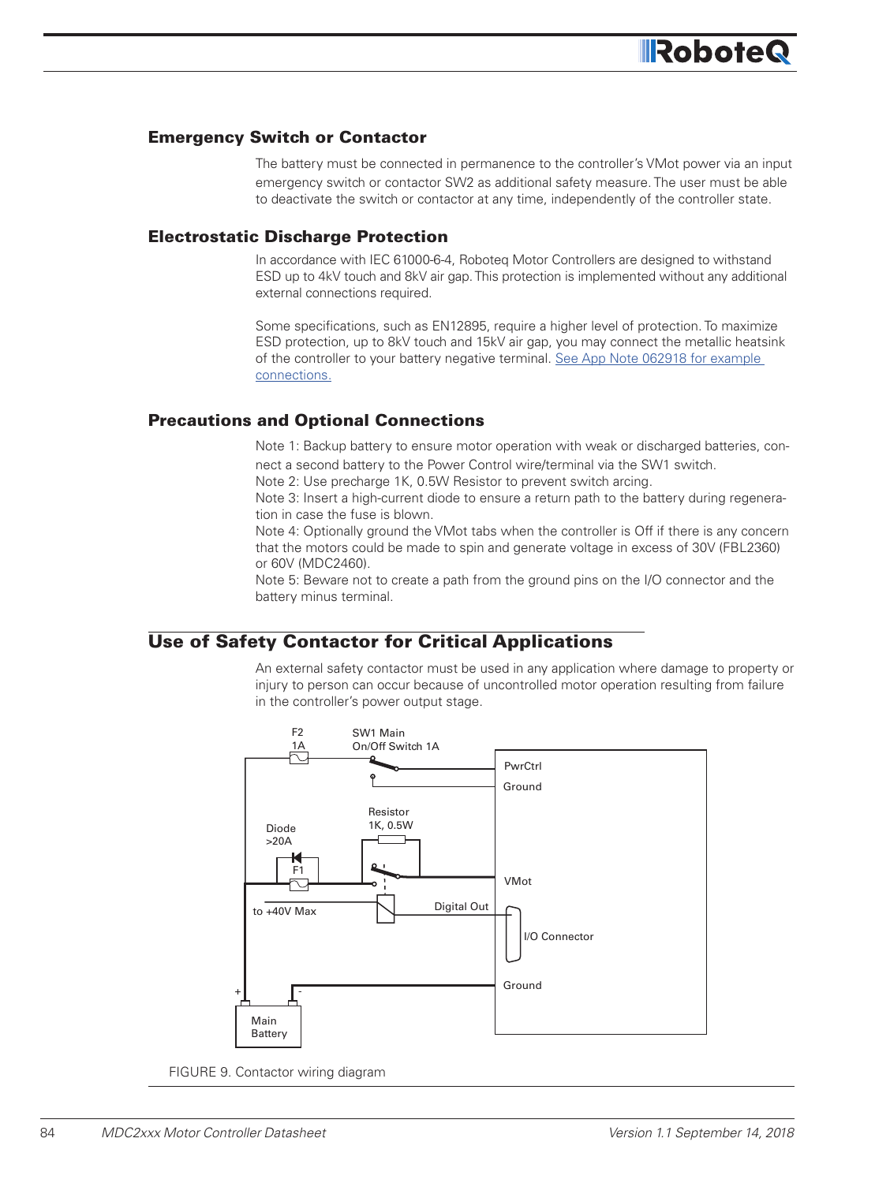#### Emergency Switch or Contactor

The battery must be connected in permanence to the controller's VMot power via an input emergency switch or contactor SW2 as additional safety measure. The user must be able to deactivate the switch or contactor at any time, independently of the controller state.

#### Electrostatic Discharge Protection

In accordance with IEC 61000-6-4, Roboteq Motor Controllers are designed to withstand ESD up to 4kV touch and 8kV air gap. This protection is implemented without any additional external connections required.

Some specifications, such as EN12895, require a higher level of protection. To maximize ESD protection, up to 8kV touch and 15kV air gap, you may connect the metallic heatsink of the controller to your battery negative terminal. See App Note 062918 for example connections.

#### Precautions and Optional Connections

Note 1: Backup battery to ensure motor operation with weak or discharged batteries, connect a second battery to the Power Control wire/terminal via the SW1 switch.

Note 2: Use precharge 1K, 0.5W Resistor to prevent switch arcing.

Note 3: Insert a high-current diode to ensure a return path to the battery during regeneration in case the fuse is blown.

Note 4: Optionally ground the VMot tabs when the controller is Off if there is any concern that the motors could be made to spin and generate voltage in excess of 30V (FBL2360) or 60V (MDC2460).

Note 5: Beware not to create a path from the ground pins on the I/O connector and the battery minus terminal.

#### Use of Safety Contactor for Critical Applications

An external safety contactor must be used in any application where damage to property or injury to person can occur because of uncontrolled motor operation resulting from failure in the controller's power output stage.



FIGURE 9. Contactor wiring diagram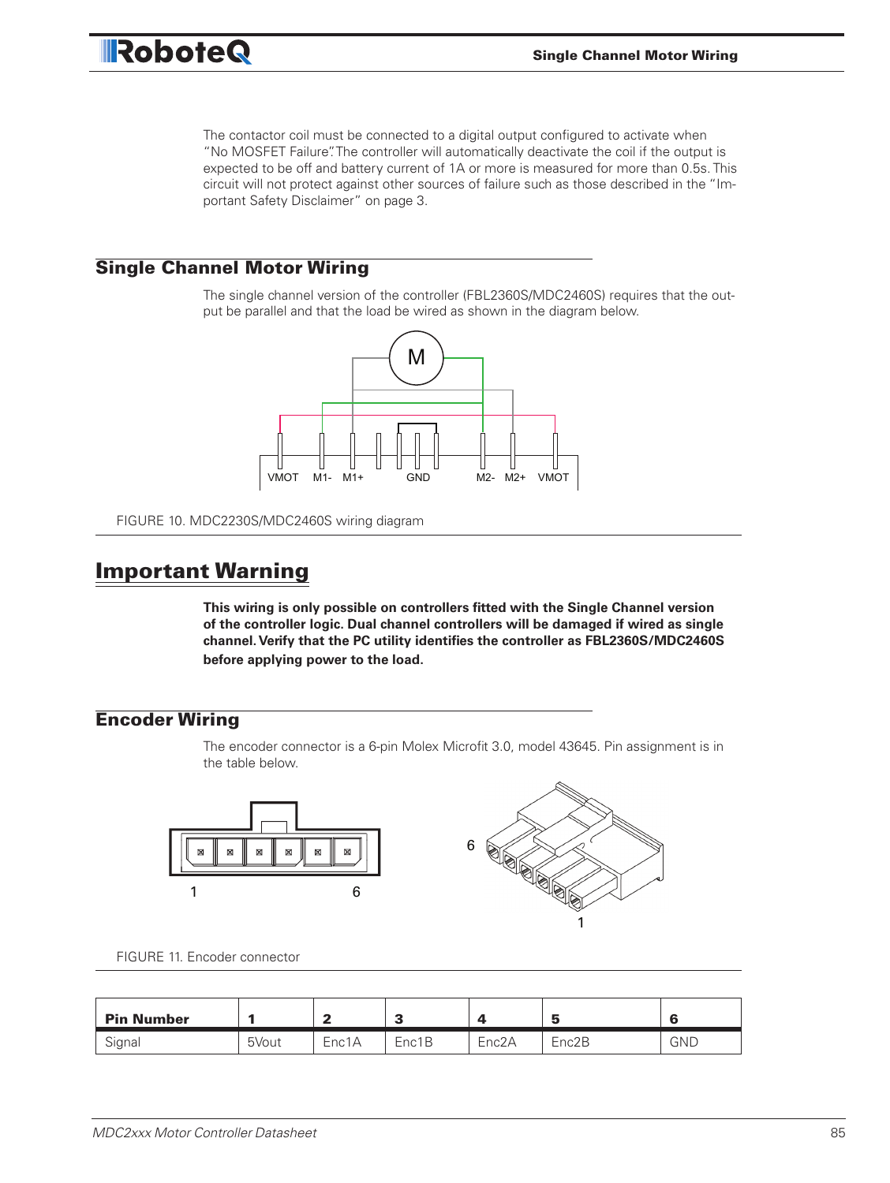The contactor coil must be connected to a digital output configured to activate when "No MOSFET Failure". The controller will automatically deactivate the coil if the output is expected to be off and battery current of 1A or more is measured for more than 0.5s. This circuit will not protect against other sources of failure such as those described in the "Important Safety Disclaimer" on page 3.

#### Single Channel Motor Wiring

**IRoboteQ** 

The single channel version of the controller (FBL2360S/MDC2460S) requires that the output be parallel and that the load be wired as shown in the diagram below.



FIGURE 10. MDC2230S/MDC2460S wiring diagram

#### Important Warning

**This wiring is only possible on controllers fitted with the Single Channel version of the controller logic. Dual channel controllers will be damaged if wired as single channel. Verify that the PC utility identifies the controller as FBL2360S/MDC2460S before applying power to the load.**

#### Encoder Wiring

The encoder connector is a 6-pin Molex Microfit 3.0, model 43645. Pin assignment is in the table below.



FIGURE 11. Encoder connector

| <b>Pin Number</b> |       | $\epsilon$ | e<br>- | ▵                  | ∽<br>-             | c          |
|-------------------|-------|------------|--------|--------------------|--------------------|------------|
| Signal            | 5Vout | Enc1A      | Enc1B  | Enc <sub>2</sub> A | Enc <sub>2</sub> B | <b>GND</b> |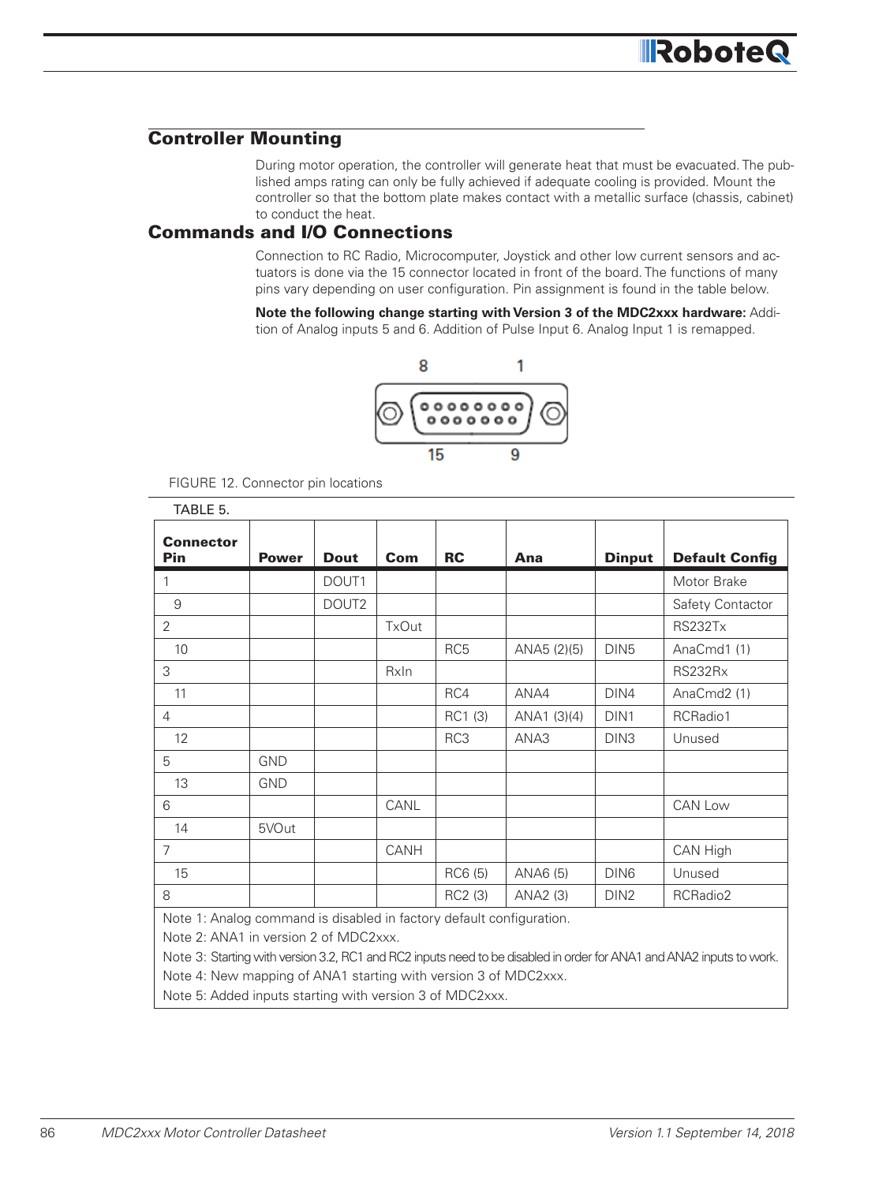#### Controller Mounting

During motor operation, the controller will generate heat that must be evacuated. The published amps rating can only be fully achieved if adequate cooling is provided. Mount the controller so that the bottom plate makes contact with a metallic surface (chassis, cabinet) to conduct the heat.

#### Commands and I/O Connections

Connection to RC Radio, Microcomputer, Joystick and other low current sensors and actuators is done via the 15 connector located in front of the board. The functions of many pins vary depending on user configuration. Pin assignment is found in the table below.

**Note the following change starting with Version 3 of the MDC2xxx hardware:** Addition of Analog inputs 5 and 6. Addition of Pulse Input 6. Analog Input 1 is remapped.



| TABLE 5.                       |              |                                                                                                                                                                                                                                |              |                 |                                   |                  |                       |
|--------------------------------|--------------|--------------------------------------------------------------------------------------------------------------------------------------------------------------------------------------------------------------------------------|--------------|-----------------|-----------------------------------|------------------|-----------------------|
| <b>Connector</b><br><b>Pin</b> | <b>Power</b> | <b>Dout</b>                                                                                                                                                                                                                    | Com          | <b>RC</b>       | Ana                               | <b>Dinput</b>    | <b>Default Config</b> |
| 1                              |              | DOUT1                                                                                                                                                                                                                          |              |                 |                                   |                  | Motor Brake           |
| 9                              |              | DOUT <sub>2</sub>                                                                                                                                                                                                              |              |                 |                                   |                  | Safety Contactor      |
| $\overline{2}$                 |              |                                                                                                                                                                                                                                | <b>TxOut</b> |                 |                                   |                  | RS232Tx               |
| 10                             |              |                                                                                                                                                                                                                                |              | RC <sub>5</sub> | ANA5 (2)(5)                       | DIN <sub>5</sub> | AnaCmd1 (1)           |
| 3                              |              |                                                                                                                                                                                                                                | Rxln         |                 |                                   |                  | RS232Rx               |
| 11                             |              |                                                                                                                                                                                                                                |              | RC4             | ANA4                              | DIN4             | AnaCmd2 (1)           |
| 4                              |              |                                                                                                                                                                                                                                |              | RC1 (3)         | ANA1 (3)(4)                       | DIN <sub>1</sub> | RCRadio1              |
| 12                             |              |                                                                                                                                                                                                                                |              | RC3             | ANA3                              | DIN <sub>3</sub> | Unused                |
| 5                              | <b>GND</b>   |                                                                                                                                                                                                                                |              |                 |                                   |                  |                       |
| 13                             | <b>GND</b>   |                                                                                                                                                                                                                                |              |                 |                                   |                  |                       |
| 6                              |              |                                                                                                                                                                                                                                | CANL         |                 |                                   |                  | CAN Low               |
| 14                             | 5VOut        |                                                                                                                                                                                                                                |              |                 |                                   |                  |                       |
| $\overline{7}$                 |              |                                                                                                                                                                                                                                | CANH         |                 |                                   |                  | CAN High              |
| 15                             |              |                                                                                                                                                                                                                                |              | RC6 (5)         | ANA6 (5)                          | DIN6             | Unused                |
| 8                              |              |                                                                                                                                                                                                                                |              | RC2 (3)         | ANA2 (3)                          | DIN <sub>2</sub> | RCRadio2              |
| $\mathbf{A}$                   |              | the property of the contract of the contract of the contract of the contract of the contract of the contract of the contract of the contract of the contract of the contract of the contract of the contract of the contract o |              |                 | and the state of the state of the |                  |                       |

FIGURE 12. Connector pin locations

Note 1: Analog command is disabled in factory default configuration.

Note 2: ANA1 in version 2 of MDC2xxx.

Note 3: Starting with version 3.2, RC1 and RC2 inputs need to be disabled in order for ANA1 and ANA2 inputs to work.

Note 4: New mapping of ANA1 starting with version 3 of MDC2xxx.

Note 5: Added inputs starting with version 3 of MDC2xxx.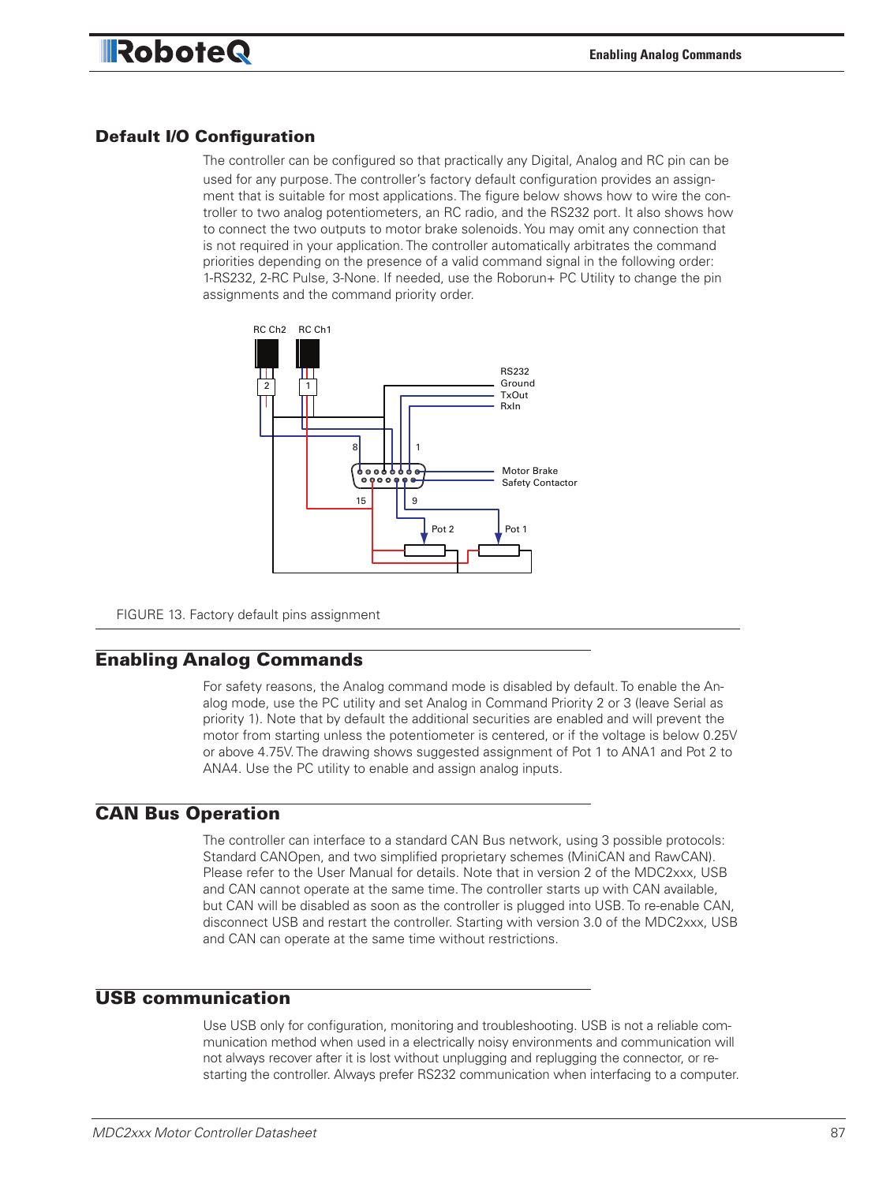### **RoboteQ**

#### Default I/O Configuration

The controller can be configured so that practically any Digital, Analog and RC pin can be used for any purpose. The controller's factory default configuration provides an assignment that is suitable for most applications. The figure below shows how to wire the controller to two analog potentiometers, an RC radio, and the RS232 port. It also shows how to connect the two outputs to motor brake solenoids. You may omit any connection that is not required in your application. The controller automatically arbitrates the command priorities depending on the presence of a valid command signal in the following order: 1-RS232, 2-RC Pulse, 3-None. If needed, use the Roborun+ PC Utility to change the pin assignments and the command priority order.



FIGURE 13. Factory default pins assignment

#### Enabling Analog Commands

For safety reasons, the Analog command mode is disabled by default. To enable the Analog mode, use the PC utility and set Analog in Command Priority 2 or 3 (leave Serial as priority 1). Note that by default the additional securities are enabled and will prevent the motor from starting unless the potentiometer is centered, or if the voltage is below 0.25V or above 4.75V. The drawing shows suggested assignment of Pot 1 to ANA1 and Pot 2 to ANA4. Use the PC utility to enable and assign analog inputs.

#### CAN Bus Operation

The controller can interface to a standard CAN Bus network, using 3 possible protocols: Standard CANOpen, and two simplified proprietary schemes (MiniCAN and RawCAN). Please refer to the User Manual for details. Note that in version 2 of the MDC2xxx, USB and CAN cannot operate at the same time. The controller starts up with CAN available, but CAN will be disabled as soon as the controller is plugged into USB. To re-enable CAN, disconnect USB and restart the controller. Starting with version 3.0 of the MDC2xxx, USB and CAN can operate at the same time without restrictions.

#### USB communication

Use USB only for configuration, monitoring and troubleshooting. USB is not a reliable communication method when used in a electrically noisy environments and communication will not always recover after it is lost without unplugging and replugging the connector, or restarting the controller. Always prefer RS232 communication when interfacing to a computer.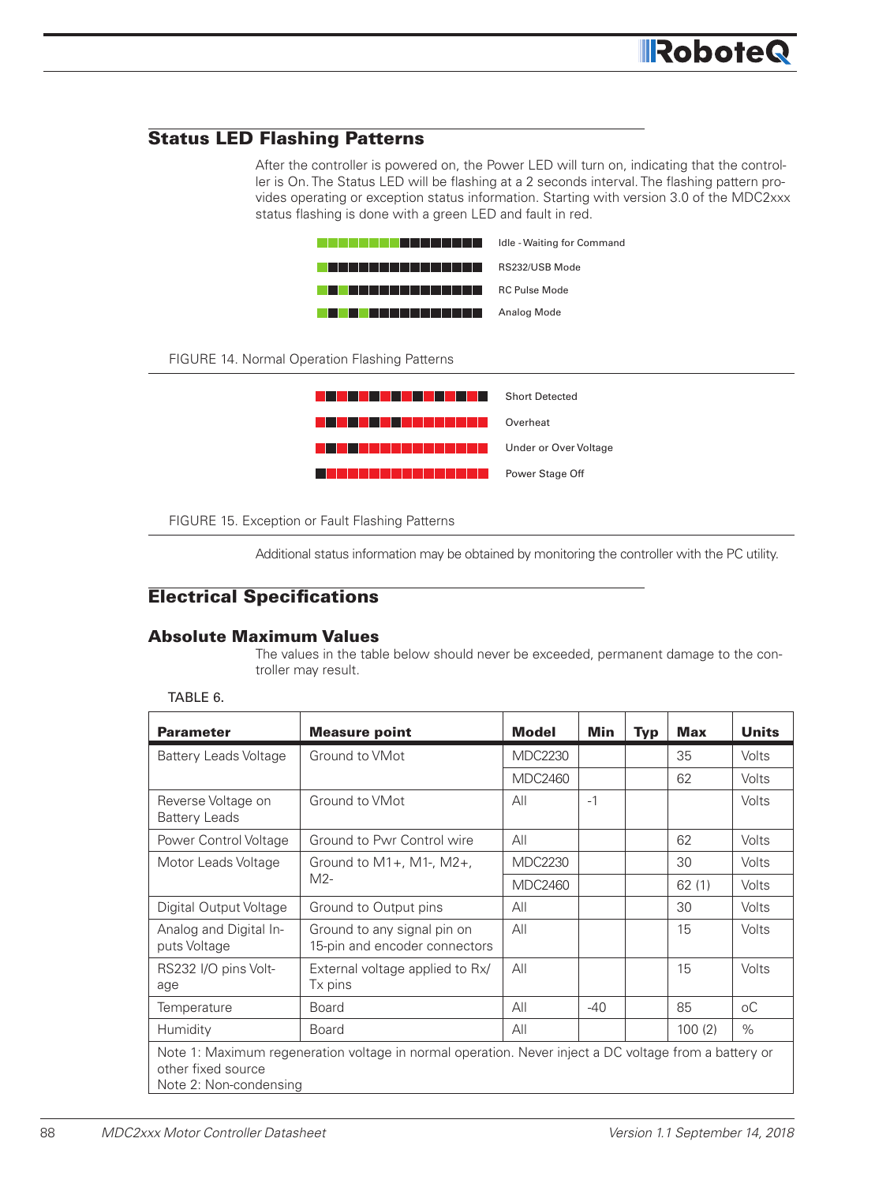#### Status LED Flashing Patterns

After the controller is powered on, the Power LED will turn on, indicating that the controller is On. The Status LED will be flashing at a 2 seconds interval. The flashing pattern provides operating or exception status information. Starting with version 3.0 of the MDC2xxx status flashing is done with a green LED and fault in red.



FIGURE 14. Normal Operation Flashing Patterns



FIGURE 15. Exception or Fault Flashing Patterns

Additional status information may be obtained by monitoring the controller with the PC utility.

#### Electrical Specifications

#### Absolute Maximum Values

The values in the table below should never be exceeded, permanent damage to the controller may result.

TABLE 6.

| <b>Parameter</b>                                                                                                                                      | <b>Measure point</b>                                                                                                                                                                    | <b>Model</b>   | Min   | <b>Typ</b> | <b>Max</b> | <b>Units</b> |
|-------------------------------------------------------------------------------------------------------------------------------------------------------|-----------------------------------------------------------------------------------------------------------------------------------------------------------------------------------------|----------------|-------|------------|------------|--------------|
| <b>Battery Leads Voltage</b>                                                                                                                          | Ground to VMot                                                                                                                                                                          | <b>MDC2230</b> |       |            | 35         | <b>Volts</b> |
|                                                                                                                                                       | Ground to VMot<br>Ground to Pwr Control wire<br>Ground to $M1+$ , M1-, M2+,<br>$M2-$<br>Ground to Output pins<br>Ground to any signal pin on<br>Tx pins<br><b>Board</b><br><b>Board</b> | <b>MDC2460</b> |       |            | 62         | Volts        |
| Reverse Voltage on<br><b>Battery Leads</b>                                                                                                            |                                                                                                                                                                                         | All            | $-1$  |            |            | Volts        |
| Power Control Voltage                                                                                                                                 |                                                                                                                                                                                         | All            |       |            | 62         | Volts        |
| Motor Leads Voltage                                                                                                                                   |                                                                                                                                                                                         | <b>MDC2230</b> |       |            | 30         | Volts        |
|                                                                                                                                                       |                                                                                                                                                                                         | <b>MDC2460</b> |       |            | 62(1)      | Volts        |
| Digital Output Voltage                                                                                                                                |                                                                                                                                                                                         | All            |       |            | 30         | <b>Volts</b> |
| Analog and Digital In-<br>puts Voltage                                                                                                                | 15-pin and encoder connectors                                                                                                                                                           | All            |       |            | 15         | <b>Volts</b> |
| RS232 I/O pins Volt-<br>age                                                                                                                           | External voltage applied to Rx/                                                                                                                                                         | All            |       |            | 15         | Volts        |
| Temperature                                                                                                                                           |                                                                                                                                                                                         | All            | $-40$ |            | 85         | $\circ$ C    |
| Humidity                                                                                                                                              |                                                                                                                                                                                         | All            |       |            | 100(2)     | $\%$         |
| Note 1: Maximum regeneration voltage in normal operation. Never inject a DC voltage from a battery or<br>other fixed source<br>Note 2: Non-condensing |                                                                                                                                                                                         |                |       |            |            |              |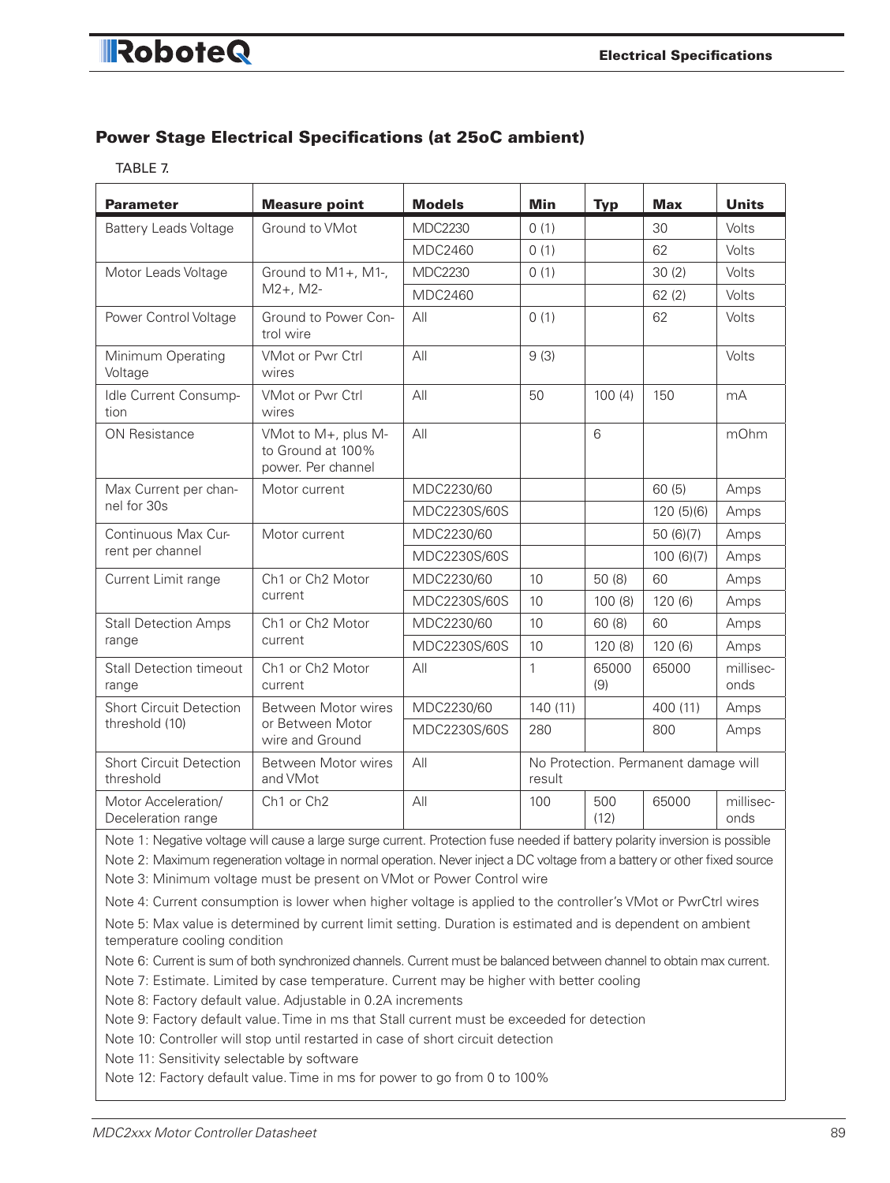### RoboteQ

#### Power Stage Electrical Specifications (at 25oC ambient)

TABLE 7.

| <b>Parameter</b>                            | <b>Measure point</b>                                                                                                                                                                                                                                                                                                                                                                                                                                                                                                                                                                                                                                                                                                                                          | <b>Models</b>  | <b>Min</b> | <b>Typ</b>                           | <b>Max</b> | <b>Units</b>      |
|---------------------------------------------|---------------------------------------------------------------------------------------------------------------------------------------------------------------------------------------------------------------------------------------------------------------------------------------------------------------------------------------------------------------------------------------------------------------------------------------------------------------------------------------------------------------------------------------------------------------------------------------------------------------------------------------------------------------------------------------------------------------------------------------------------------------|----------------|------------|--------------------------------------|------------|-------------------|
| <b>Battery Leads Voltage</b>                | Ground to VMot                                                                                                                                                                                                                                                                                                                                                                                                                                                                                                                                                                                                                                                                                                                                                | <b>MDC2230</b> | 0(1)       |                                      | 30         | Volts             |
|                                             |                                                                                                                                                                                                                                                                                                                                                                                                                                                                                                                                                                                                                                                                                                                                                               | MDC2460        | 0(1)       |                                      | 62         | Volts             |
| Motor Leads Voltage                         | Ground to M1+, M1-,                                                                                                                                                                                                                                                                                                                                                                                                                                                                                                                                                                                                                                                                                                                                           | <b>MDC2230</b> | 0(1)       |                                      | 30(2)      | Volts             |
|                                             | $M2+$ , M2-<br>Ground to Power Con-<br>trol wire<br>VMot or Pwr Ctrl<br>wires<br><b>VMot or Pwr Ctrl</b><br>wires<br>VMot to M+, plus M-<br>to Ground at 100%<br>power. Per channel<br>Motor current<br>Motor current<br>Ch1 or Ch2 Motor<br>current<br>Ch1 or Ch2 Motor<br>current<br>Ch1 or Ch2 Motor<br>current<br>Between Motor wires<br>or Between Motor<br>wire and Ground<br>Between Motor wires<br>and VMot<br>Ch1 or Ch2<br>Note 5: Max value is determined by current limit setting. Duration is estimated and is dependent on ambient<br>Note 6: Current is sum of both synchronized channels. Current must be balanced between channel to obtain max current.<br>Note 10: Controller will stop until restarted in case of short circuit detection | MDC2460        |            |                                      | 62(2)      | Volts             |
| Power Control Voltage                       |                                                                                                                                                                                                                                                                                                                                                                                                                                                                                                                                                                                                                                                                                                                                                               | All            | 0(1)       |                                      | 62         | Volts             |
| Minimum Operating<br>Voltage                |                                                                                                                                                                                                                                                                                                                                                                                                                                                                                                                                                                                                                                                                                                                                                               | All            | 9(3)       |                                      |            | Volts             |
| Idle Current Consump-<br>tion               |                                                                                                                                                                                                                                                                                                                                                                                                                                                                                                                                                                                                                                                                                                                                                               | All            | 50         | 100(4)                               | 150        | mA                |
| <b>ON Resistance</b>                        |                                                                                                                                                                                                                                                                                                                                                                                                                                                                                                                                                                                                                                                                                                                                                               | All            |            | 6                                    |            | mOhm              |
| Max Current per chan-                       |                                                                                                                                                                                                                                                                                                                                                                                                                                                                                                                                                                                                                                                                                                                                                               | MDC2230/60     |            |                                      | 60(5)      | Amps              |
| nel for 30s                                 |                                                                                                                                                                                                                                                                                                                                                                                                                                                                                                                                                                                                                                                                                                                                                               | MDC2230S/60S   |            |                                      | 120(5)(6)  | Amps              |
| Continuous Max Cur-                         |                                                                                                                                                                                                                                                                                                                                                                                                                                                                                                                                                                                                                                                                                                                                                               | MDC2230/60     |            |                                      | 50(6)(7)   | Amps              |
| rent per channel                            |                                                                                                                                                                                                                                                                                                                                                                                                                                                                                                                                                                                                                                                                                                                                                               | MDC2230S/60S   |            |                                      | 100(6)(7)  | Amps              |
| Current Limit range                         |                                                                                                                                                                                                                                                                                                                                                                                                                                                                                                                                                                                                                                                                                                                                                               | MDC2230/60     | 10         | 50 (8)                               | 60         | Amps              |
|                                             |                                                                                                                                                                                                                                                                                                                                                                                                                                                                                                                                                                                                                                                                                                                                                               | MDC2230S/60S   | 10         | 100(8)                               | 120(6)     | Amps              |
| <b>Stall Detection Amps</b>                 |                                                                                                                                                                                                                                                                                                                                                                                                                                                                                                                                                                                                                                                                                                                                                               | MDC2230/60     | 10         | 60 (8)                               | 60         | Amps              |
| range                                       |                                                                                                                                                                                                                                                                                                                                                                                                                                                                                                                                                                                                                                                                                                                                                               | MDC2230S/60S   | 10         | 120 (8)                              | 120(6)     | Amps              |
| <b>Stall Detection timeout</b><br>range     |                                                                                                                                                                                                                                                                                                                                                                                                                                                                                                                                                                                                                                                                                                                                                               | All            | 1          | 65000<br>(9)                         | 65000      | millisec-<br>onds |
| <b>Short Circuit Detection</b>              |                                                                                                                                                                                                                                                                                                                                                                                                                                                                                                                                                                                                                                                                                                                                                               | MDC2230/60     | 140(11)    |                                      | 400 (11)   | Amps              |
| threshold (10)                              |                                                                                                                                                                                                                                                                                                                                                                                                                                                                                                                                                                                                                                                                                                                                                               | MDC2230S/60S   | 280        |                                      | 800        | Amps              |
| <b>Short Circuit Detection</b><br>threshold |                                                                                                                                                                                                                                                                                                                                                                                                                                                                                                                                                                                                                                                                                                                                                               | All            | result     | No Protection. Permanent damage will |            |                   |
| Motor Acceleration/<br>Deceleration range   |                                                                                                                                                                                                                                                                                                                                                                                                                                                                                                                                                                                                                                                                                                                                                               | AII            | 100        | 500<br>(12)                          | 65000      | millisec-<br>onds |
|                                             | Note 1: Negative voltage will cause a large surge current. Protection fuse needed if battery polarity inversion is possible<br>Note 2: Maximum regeneration voltage in normal operation. Never inject a DC voltage from a battery or other fixed source<br>Note 3: Minimum voltage must be present on VMot or Power Control wire<br>Note 4: Current consumption is lower when higher voltage is applied to the controller's VMot or PwrCtrl wires                                                                                                                                                                                                                                                                                                             |                |            |                                      |            |                   |
| temperature cooling condition               |                                                                                                                                                                                                                                                                                                                                                                                                                                                                                                                                                                                                                                                                                                                                                               |                |            |                                      |            |                   |
|                                             | Note 7: Estimate. Limited by case temperature. Current may be higher with better cooling<br>Note 8: Factory default value. Adjustable in 0.2A increments<br>Note 9: Factory default value. Time in ms that Stall current must be exceeded for detection                                                                                                                                                                                                                                                                                                                                                                                                                                                                                                       |                |            |                                      |            |                   |
| Note 11: Sensitivity selectable by software |                                                                                                                                                                                                                                                                                                                                                                                                                                                                                                                                                                                                                                                                                                                                                               |                |            |                                      |            |                   |

Note 12: Factory default value. Time in ms for power to go from 0 to 100%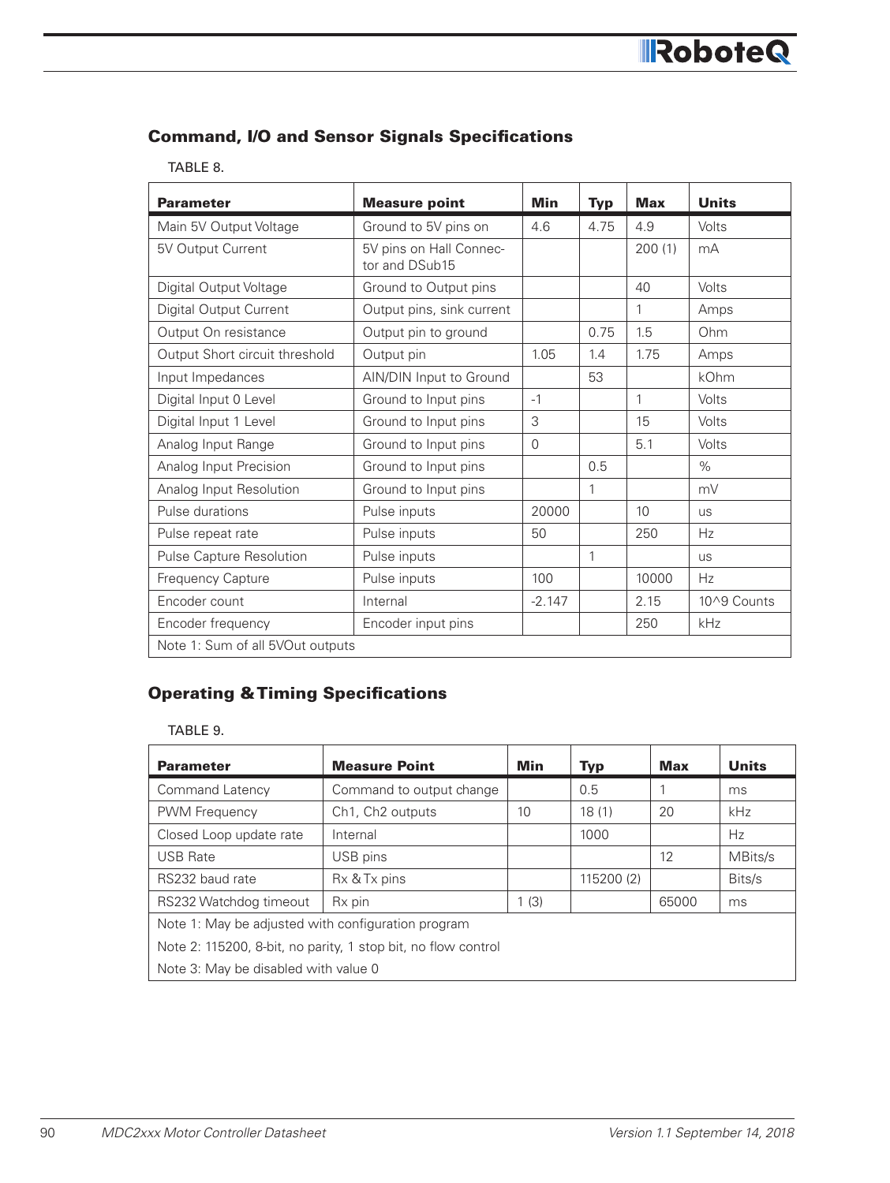#### Command, I/O and Sensor Signals Specifications

#### TABLE 8.

| <b>Parameter</b>                 | <b>Measure point</b>                      | Min      | <b>Typ</b> | <b>Max</b> | <b>Units</b> |
|----------------------------------|-------------------------------------------|----------|------------|------------|--------------|
| Main 5V Output Voltage           | Ground to 5V pins on                      | 4.6      | 4.75       | 4.9        | Volts        |
| 5V Output Current                | 5V pins on Hall Connec-<br>tor and DSub15 |          |            | 200(1)     | mA           |
| Digital Output Voltage           | Ground to Output pins                     |          |            | 40         | Volts        |
| Digital Output Current           | Output pins, sink current                 |          |            | 1          | Amps         |
| Output On resistance             | Output pin to ground                      |          | 0.75       | 1.5        | Ohm          |
| Output Short circuit threshold   | Output pin                                | 1.05     | 1.4        | 1.75       | Amps         |
| Input Impedances                 | AIN/DIN Input to Ground                   |          | 53         |            | kOhm         |
| Digital Input 0 Level            | Ground to Input pins                      | $-1$     |            | 1          | Volts        |
| Digital Input 1 Level            | Ground to Input pins                      | 3        |            | 15         | Volts        |
| Analog Input Range               | Ground to Input pins                      | $\Omega$ |            | 5.1        | Volts        |
| Analog Input Precision           | Ground to Input pins                      |          | 0.5        |            | $\%$         |
| Analog Input Resolution          | Ground to Input pins                      |          | 1          |            | mV           |
| Pulse durations                  | Pulse inputs                              | 20000    |            | 10         | <b>us</b>    |
| Pulse repeat rate                | Pulse inputs                              | 50       |            | 250        | Hz           |
| Pulse Capture Resolution         | Pulse inputs                              |          | 1          |            | <b>US</b>    |
| Frequency Capture                | Pulse inputs                              | 100      |            | 10000      | Hz           |
| Encoder count                    | Internal                                  | $-2.147$ |            | 2.15       | 10^9 Counts  |
| Encoder frequency                | Encoder input pins                        |          |            | 250        | kHz          |
| Note 1: Sum of all 5VOut outputs |                                           |          |            |            |              |

#### Operating & Timing Specifications

#### TABLE 9.

| <b>Parameter</b>                                              | <b>Measure Point</b>                      | Min  | <b>Typ</b> | <b>Max</b> | <b>Units</b> |  |  |
|---------------------------------------------------------------|-------------------------------------------|------|------------|------------|--------------|--|--|
| Command Latency                                               | Command to output change                  |      | 0.5        |            | ms           |  |  |
| PWM Frequency                                                 | Ch <sub>1</sub> , Ch <sub>2</sub> outputs | 10   | 18(1)      | 20         | <b>kHz</b>   |  |  |
| Closed Loop update rate                                       | Internal                                  |      | 1000       |            | Hz           |  |  |
| <b>USB Rate</b>                                               | USB pins                                  |      |            | 12         | MBits/s      |  |  |
| RS232 baud rate                                               | Rx & Tx pins                              |      | 115200 (2) |            | Bits/s       |  |  |
| RS232 Watchdog timeout                                        | R <sub>x</sub> pin                        | 1(3) |            | 65000      | ms           |  |  |
| Note 1: May be adjusted with configuration program            |                                           |      |            |            |              |  |  |
| Note 2: 115200, 8-bit, no parity, 1 stop bit, no flow control |                                           |      |            |            |              |  |  |
|                                                               | Note 3: May be disabled with value 0      |      |            |            |              |  |  |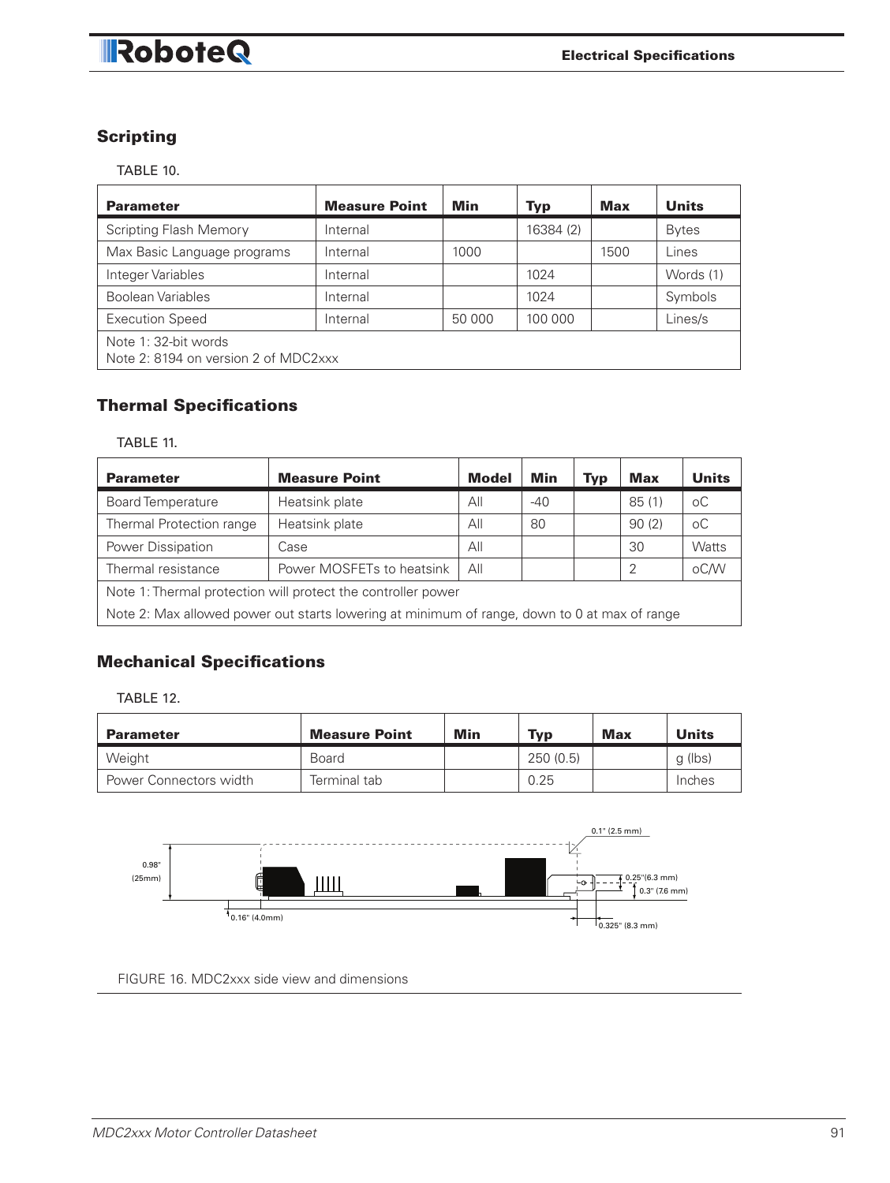### RoboteQ

#### **Scripting**

TABLE 10.

| <b>Parameter</b>                                             | <b>Measure Point</b> | Min    | <b>Typ</b> | <b>Max</b> | <b>Units</b> |  |  |
|--------------------------------------------------------------|----------------------|--------|------------|------------|--------------|--|--|
| <b>Scripting Flash Memory</b>                                | Internal             |        | 16384 (2)  |            | <b>Bytes</b> |  |  |
| Max Basic Language programs                                  | Internal             | 1000   |            | 1500       | Lines        |  |  |
| Integer Variables                                            | Internal             |        | 1024       |            | Words (1)    |  |  |
| Boolean Variables                                            | Internal             |        | 1024       |            | Symbols      |  |  |
| <b>Execution Speed</b>                                       | Internal             | 50 000 | 100 000    |            | Lines/s      |  |  |
| Note 1: 32-bit words<br>Note 2: 8194 on version 2 of MDC2xxx |                      |        |            |            |              |  |  |

#### **Thermal Specifications** vau

TABLE 11.

| <b>Parameter</b>                                                                             | <b>Measure Point</b>      | <b>Model</b> | Min   | Typ | Max   | <b>Units</b> |
|----------------------------------------------------------------------------------------------|---------------------------|--------------|-------|-----|-------|--------------|
| <b>Board Temperature</b>                                                                     | Heatsink plate            | All          | $-40$ |     | 85(1) | оC           |
| Thermal Protection range                                                                     | Heatsink plate            | All          | 80    |     | 90(2) | оC           |
| Power Dissipation                                                                            | Case                      | All          |       |     | 30    | Watts        |
| Thermal resistance                                                                           | Power MOSFETs to heatsink | All          |       |     | 2     | oC/W         |
| Note 1: Thermal protection will protect the controller power                                 |                           |              |       |     |       |              |
| Note 2: Max allowed power out starts lowering at minimum of range, down to 0 at max of range |                           |              |       |     |       |              |

#### Mechanical Specifications

TABLE 12.

| <b>Parameter</b>       | <b>Measure Point</b> | Min | <b>Typ</b> | Max | <b>Units</b> |
|------------------------|----------------------|-----|------------|-----|--------------|
| Weight                 | Board                |     | 250 (0.5)  |     | g (lbs)      |
| Power Connectors width | Terminal tab         |     | 0.25       |     | Inches       |